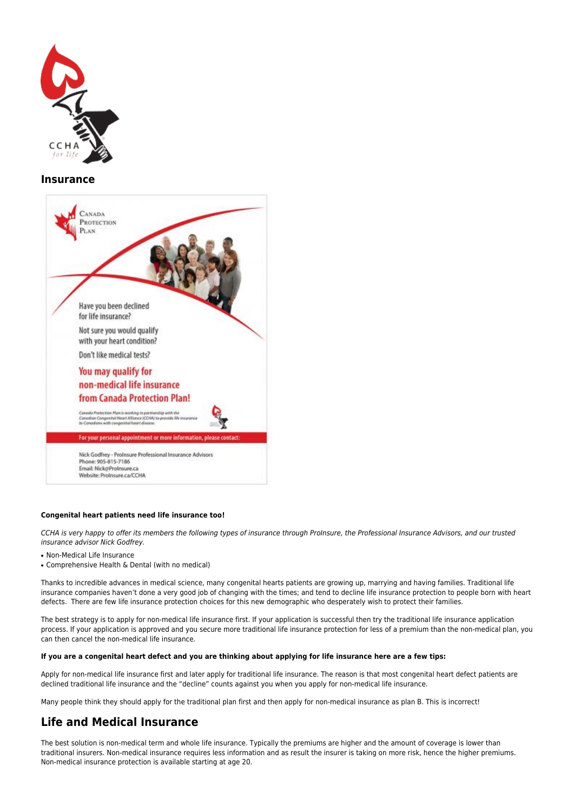

### **Insurance**



#### **Congenital heart patients need life insurance too!**

CCHA is very happy to offer its members the following types of insurance through ProInsure, the Professional Insurance Advisors, and our trusted insurance advisor Nick Godfrey.

- Non-Medical Life Insurance
- Comprehensive Health & Dental (with no medical)

Thanks to incredible advances in medical science, many congenital hearts patients are growing up, marrying and having families. Traditional life insurance companies haven't done a very good job of changing with the times; and tend to decline life insurance protection to people born with heart defects. There are few life insurance protection choices for this new demographic who desperately wish to protect their families.

The best strategy is to apply for non-medical life insurance first. If your application is successful then try the traditional life insurance application process. If your application is approved and you secure more traditional life insurance protection for less of a premium than the non-medical plan, you can then cancel the non-medical life insurance.

#### **If you are a congenital heart defect and you are thinking about applying for life insurance here are a few tips:**

Apply for non-medical life insurance first and later apply for traditional life insurance. The reason is that most congenital heart defect patients are declined traditional life insurance and the "decline" counts against you when you apply for non-medical life insurance.

Many people think they should apply for the traditional plan first and then apply for non-medical insurance as plan B. This is incorrect!

## **Life and Medical Insurance**

The best solution is non-medical term and whole life insurance. Typically the premiums are higher and the amount of coverage is lower than traditional insurers. Non-medical insurance requires less information and as result the insurer is taking on more risk, hence the higher premiums. Non-medical insurance protection is available starting at age 20.